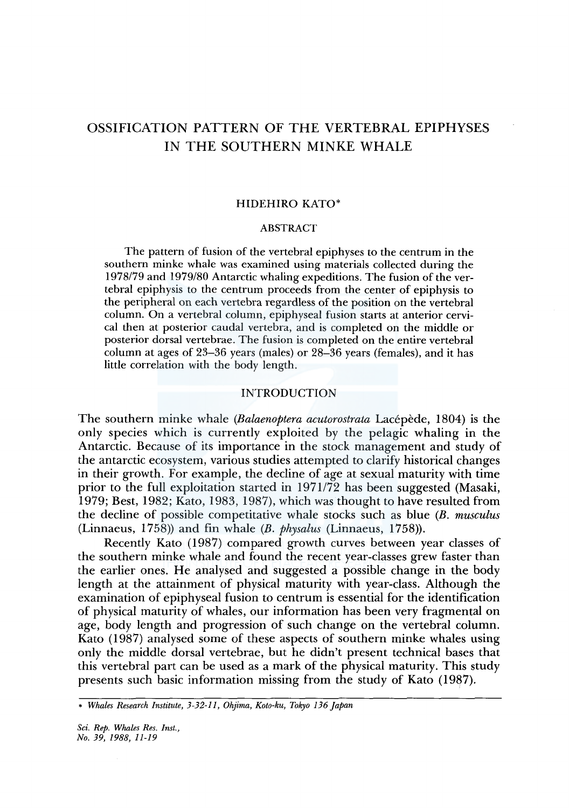# OSSIFICATION PATTERN OF THE VERTEBRAL EPIPHYSES IN THE SOUTHERN MINKE WHALE

## HIDEHIRO KATO\*

# ABSTRACT

The pattern of fusion of the vertebral epiphyses to the centrum in the southern minke whale was examined using materials collected during the 1978179 and 1979/80 Antarctic whaling expeditions. The fusion of the vertebral epiphysis to the centrum proceeds from the center of epiphysis to the peripheral on each vertebra regardless of the position on the vertebral column. On a vertebral column, epiphyseal fusion starts at anterior cervical then at posterior caudal vertebra, and is completed on the middle or posterior dorsal vertebrae. The fusion is completed on the entire vertebral column at ages of 23-36 years (males) or 28-36 years (females), and it has little correlation with the body length.

## INTRODUCTION

The southern minke whale *(Balaenoptera acutorostrata* Lacepede, 1804) is the only species which is currently exploited by the pelagic whaling in the Antarctic. Because of its importance in the stock management and study of the antarctic ecosystem, various studies attempted to clarify historical changes in their growth. For example, the decline of age at sexual maturity with time prior to the full exploitation started in 1971172 has been suggested (Masaki, 1979; Best, 1982; Kato, 1983, 1987), which was thought to have resulted from the decline of possible competitative whale stocks such as blue *(B. musculus*  (Linnaeus, 1758)) and fin whale *(B. physalus* (Linnaeus, 1758)).

Recently Kato (1987) compared growth curves between year classes of the southern minke whale and found the recent year-classes grew faster than the earlier ones. He analysed and suggested a possible change in the body length at the attainment of physical maturity with year-class. Although the examination of epiphyseal fusion to centrum is essential for the identification of physical maturity of whales, our information has been very fragmental on age, body length and progression of such change on the vertebral column. Kato (1987) analysed some of these aspects of southern minke whales using only the middle dorsal vertebrae, but he didn't present technical bases that this vertebral part can be used as a mark of the physical maturity. This study presents such basic information missing from the study of Kato (1987).

<sup>•</sup> *Whales Research Institute, 3-32-Il, Ohjima, Koto-ku, Tokyo 136 Japan*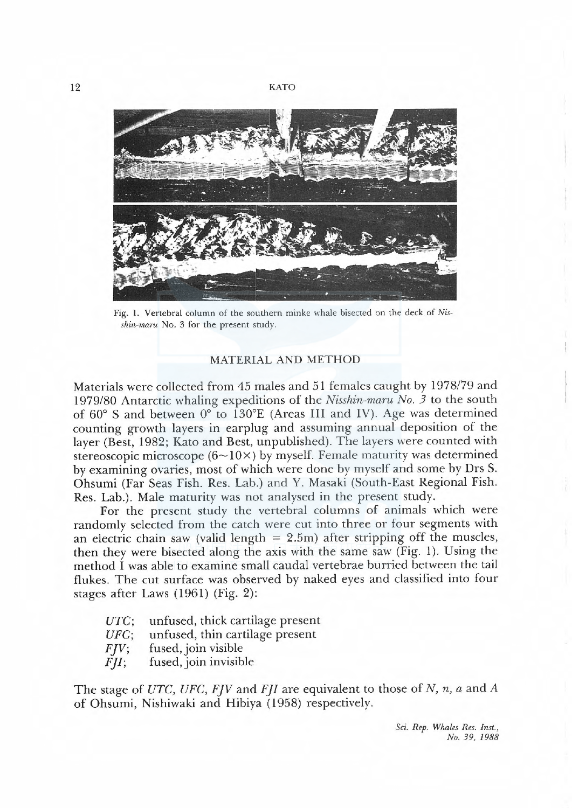

Fig. 1. Vertebral column of the southern minke whale bisected on the deck of Nisshin-maru No. 3 for the present study.

# MATERIAL AND METHOD

Materials were collected from 45 males and 51 females caught by 1978/79 and 1979/80 Antarctic whaling expeditions of the Nisshin-maru No. 3 to the south of  $60^{\circ}$  S and between  $0^{\circ}$  to 130°E (Areas III and IV). Age was determined counting growth layers in earplug and assuming annual deposition of the layer (Best, 1982; Kato and Best, unpublished). The layers were counted with stereoscopic microscope ( $6 \sim 10 \times$ ) by myself. Female maturity was determined by examining ovaries, most of which were done by myself and some by Drs S. Ohsumi (Far Seas Fish. Res. Lab.) and Y. Masaki (South-East Regional Fish. Res. Lab.). Male maturity was not analysed in the present study.

For the present study the vertebral columns of animals which were randomly selected from the catch were cut into three or four segments with an electric chain saw (valid length  $= 2.5$ m) after stripping off the muscles, then they were bisected along the axis with the same saw (Fig. 1). Using the method I was able to examine smal caudal vertebrae burried between the tail flukes. The cut surface was observed by naked eyes and classified into four stages after Laws (1961) (Fig. 2):

- UTC; unfused, thick cartilage present
- UFC; unfused, thin cartilage present
- $FIV$ ; fused, join visible
- $FJI$ ; fused, join invisible

The stage of UTC, UFC, FJV and FJI are equivalent to those of N, n, a and A of Ohsumi, Nishiwaki and Hibiya (1958) respectively.

> Sci. Rep. Whales Res. Inst., No. 39, 1988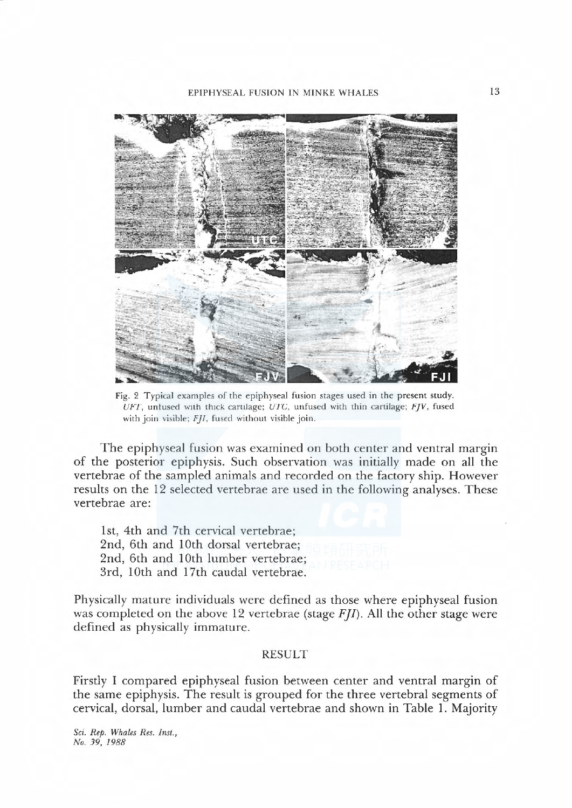EPIPHYSEAL FUSION IN MINKE WHALES



Fig. 2 Typical examples of the epiphyseal fusion stages used in the present study UFT, unfused with thick cartilage; UTC, unfused with thin cartilage;  $F/V$ , fused with join visible;  $FJI$ , fused without visible join.

The epiphyseal fusion was examined on both center and ventral margin of the posterior epiphysis. Such observation was initially made on all the vertebrae of the sampled animals and recorded on the factory ship. However results on the 12 selected vertebrae are used in the following analyses. These vertebrae are:

1st, 4th and 7th cervical vertebrae; 2nd, 6th and 10th dorsal vertebrae; 2nd, 6th and 10th lumber vertebrae; 3rd, 10th and 17th caudal vertebrae.

Physically mature individuals were defined as those where epiphyseal fusion was completed on the above 12 vertebrae (stage  $F/I$ ). All the other stage were defined as physically immature.

# RESULT

Firstly I compared epiphyseal fusion between center and ventral margin of the same epiphysis. The result is grouped for the three vertebral segments of cervical, dorsal, lumber and caudal vertebrae and shown in Table 1. Majority

Sci. Rep. Whales Res. Inst., No. 39, 1988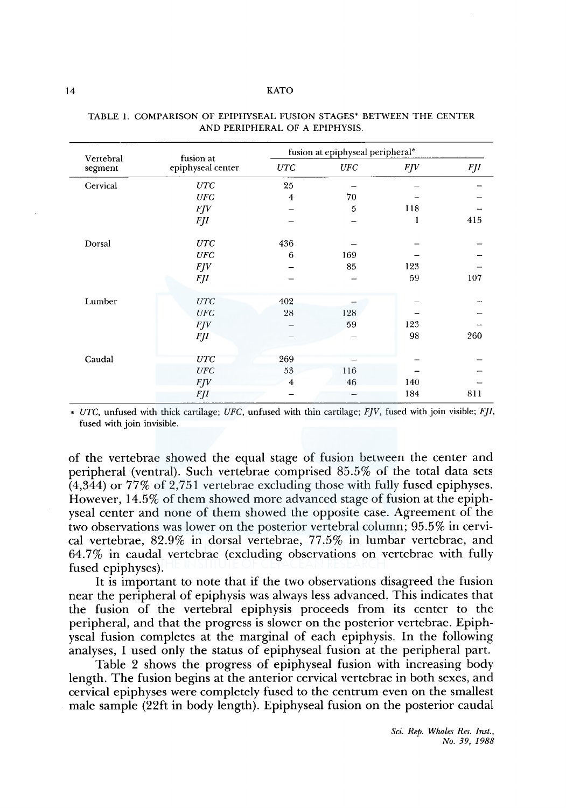#### 14 KATO

| Vertebral | fusion at         | fusion at epiphyseal peripheral* |            |     |            |  |  |  |
|-----------|-------------------|----------------------------------|------------|-----|------------|--|--|--|
| segment   | epiphyseal center | UTC                              | <b>UFC</b> | FJV | <b>FJI</b> |  |  |  |
| Cervical  | UTC               | 25                               |            |     |            |  |  |  |
|           | <b>UFC</b>        | $\overline{4}$                   | 70         |     |            |  |  |  |
|           | FJV               |                                  | 5          | 118 |            |  |  |  |
|           | <b>FJI</b>        |                                  |            | 1   | 415        |  |  |  |
| Dorsal    | <b>UTC</b>        | 436                              |            |     |            |  |  |  |
|           | <b>UFC</b>        | 6                                | 169        |     |            |  |  |  |
|           | <b>FJV</b>        |                                  | 85         | 123 |            |  |  |  |
|           | <b>FJI</b>        |                                  |            | 59  | 107        |  |  |  |
| Lumber    | <b>UTC</b>        | 402                              |            |     |            |  |  |  |
|           | UFC               | 28                               | 128        |     |            |  |  |  |
|           | <b>FJV</b>        |                                  | 59         | 123 |            |  |  |  |
|           | <b>FJI</b>        |                                  |            | 98  | 260        |  |  |  |
| Caudal    | UTC               | 269                              |            |     |            |  |  |  |
|           | UFC               | 53                               | 116        |     |            |  |  |  |
|           | FJV               | $\overline{4}$                   | 46         | 140 |            |  |  |  |
|           | <b>FJI</b>        |                                  |            | 184 | 811        |  |  |  |

| TABLE 1. COMPARISON OF EPIPHYSEAL FUSION STAGES* BETWEEN THE CENTER |                                |  |  |  |
|---------------------------------------------------------------------|--------------------------------|--|--|--|
|                                                                     | AND PERIPHERAL OF A EPIPHYSIS. |  |  |  |

• *UTC,* unfused with thick cartilage; *UFC,* unfused with thin cartilage; *FJV,* fused with join visible; *FJI,*  fused with join invisible.

of the vertebrae showed the equal stage of fusion between the center and peripheral (ventral). Such vertebrae comprised 85.5% of the total data sets (4,344) or 77% of 2,751 vertebrae excluding those with fully fused epiphyses. However, 14.5% of them showed more advanced stage of fusion at the epiphyseal center and none of them showed the opposite case. Agreement of the two observations was lower on the posterior vertebral column; 95.5% in cervical vertebrae, 82.9% in dorsal vertebrae, 77.5% in lumbar vertebrae, and 64.7% in caudal vertebrae (excluding observations on vertebrae with fully fused epiphyses).

It is important to note that if the two observations disagreed the fusion near the peripheral of epiphysis was always less advanced. This indicates that the fusion of the vertebral epiphysis proceeds from its center to the peripheral, and that the progress is slower on the posterior vertebrae. Epiphyseal fusion completes at the marginal of each epiphysis. In the following analyses, I used only the status of epiphyseal fusion at the peripheral part.

Table 2 shows the progress of epiphyseal fusion with increasing body length. The fusion begins at the anterior cervical vertebrae in both sexes, and cervical epiphyses were completely fused to the centrum even on the smallest male sample (22ft in body length). Epiphyseal fusion on the posterior caudal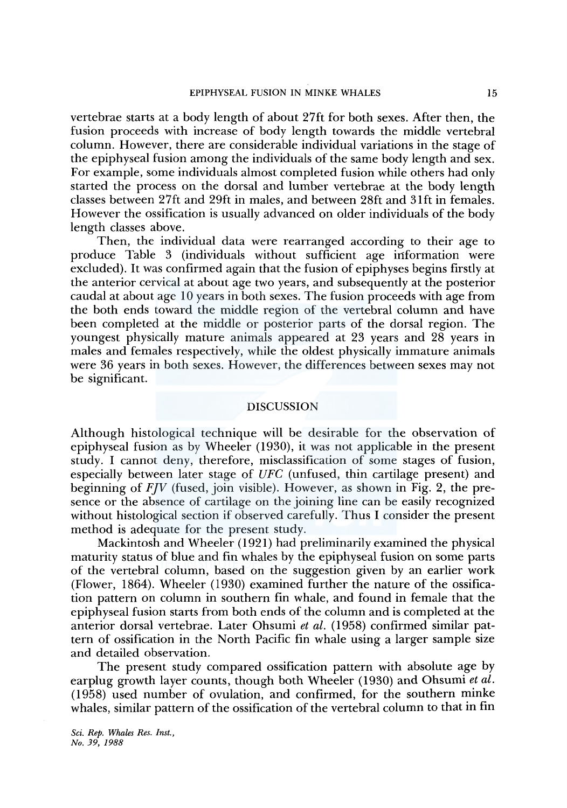vertebrae starts at a body length of about 27ft for both sexes. After then, the fusion proceeds with increase of body length towards the middle vertebral column. However, there are considerable individual variations in the stage of the epiphyseal fusion among the individuals of the same body length and sex. For example, some individuals almost completed fusion while others had only started the process on the dorsal and lumber vertebrae at the body length classes between 27ft and 29ft in males, and between 28ft and 3 lft in females. However the ossification is usually advanced on older individuals of the body length classes above.

Then, the individual data were rearranged according to their age to produce Table 3 (individuals without sufficient age information were excluded). It was confirmed again that the fusion of epiphyses begins firstly at the anterior cervical at about age two years, and subsequently at the posterior caudal at about age 10 years in both sexes. The fusion proceeds with age from the both ends toward the middle region of the vertebral column and have been completed at the middle or posterior parts of the dorsal region. The youngest physically mature animals appeared at 23 years and 28 years in males and females respectively, while the oldest physically immature animals were 36 years in both sexes. However, the differences between sexes may not be significant.

## DISCUSSION

Although histological technique will be desirable for the observation of epiphyseal fusion as by Wheeler (1930), it was not applicable in the present study. I cannot deny, therefore, misclassification of some stages of fusion, especially between later stage of *UFC* (unfused, thin cartilage present) and beginning of *FJV* (fused, join visible). However, as shown in Fig. 2, the presence or the absence of cartilage on the joining line can be easily recognized without histological section if observed carefully. Thus I consider the present method is adequate for the present study.

Mackintosh and Wheeler (1921) had preliminarily examined the physical maturity status of blue and fin whales by the epiphyseal fusion on some parts of the vertebral column, based on the suggestion given by an earlier work (Flower, 1864). Wheeler (1930) examined further the nature of the ossification pattern on column in southern fin whale, and found in female that the epiphyseal fusion starts from both ends of the column and is completed at the anterior dorsal vertebrae. Later Ohsumi *et al.* (1958) confirmed similar pattern of ossification in the North Pacific fin whale using a larger sample size and detailed observation.

The present study compared ossification pattern with absolute age by earplug growth layer counts, though both Wheeler (1930) and Ohsumi *et al.*  ( 1958) used number of ovulation, and confirmed, for the southern minke whales, similar pattern of the ossification of the vertebral column to that in fin

*Sci. Rep. Whales Res. Inst., No. 39, 1988*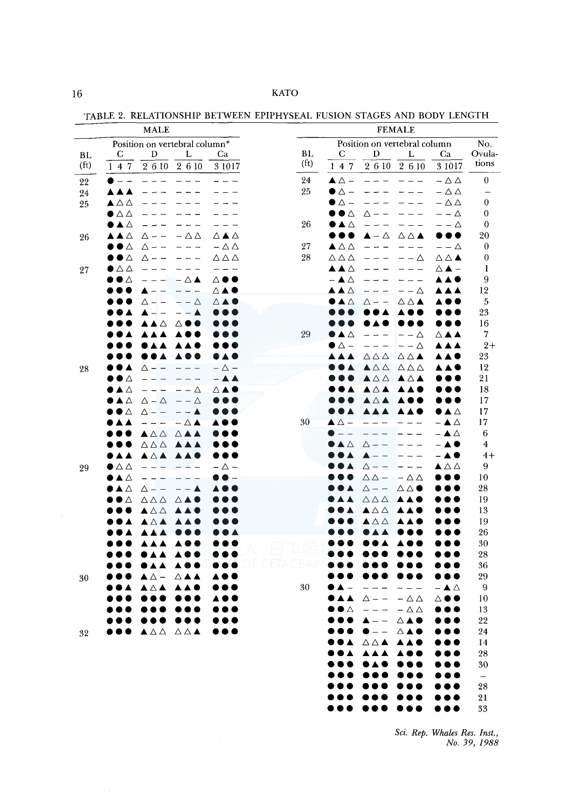TABLE 2. RELATIONSHIP BETWEEN EPIPHYSEAL FUSION STAGES AND BODY LENGTH

|                   | <b>MALE</b>                                                                                                      | <b>FEMALE</b>     |                                      |                                     |                                                      |                                          |                          |
|-------------------|------------------------------------------------------------------------------------------------------------------|-------------------|--------------------------------------|-------------------------------------|------------------------------------------------------|------------------------------------------|--------------------------|
|                   | Position on vertebral column*                                                                                    |                   | Position on vertebral column         |                                     |                                                      |                                          |                          |
| BL.               | D<br>C<br>L<br>Ca                                                                                                | BL                | С                                    | D                                   | L                                                    | Ca                                       | Ovula-                   |
| (f <sub>t</sub> ) | $2\;6\;10$<br>147<br>2 6 10<br>3 10 17                                                                           | (f <sub>t</sub> ) | 147                                  |                                     | $\overline{2610}$ $\overline{2610}$                  | 3 10 17                                  | tions                    |
| 22                | $\overline{\phantom{0}}$                                                                                         | 24                | $\blacktriangle \triangle$ $-$       | $- - -$                             | $\overline{\phantom{0}}$                             | $-\Delta\Delta$                          | $\overline{0}$           |
| 24                | ▲▲<br>$\blacktriangle$                                                                                           | 25                | $\bullet$ $\triangle$ $-$            |                                     |                                                      | $-\Delta \Delta$                         | —                        |
| 25                | ▲△△                                                                                                              |                   | $\bullet$ $\vartriangle$ $-$         |                                     |                                                      | $-\Delta\Delta$                          | 0                        |
|                   | $\bullet$ $\triangle$ $\triangle$                                                                                |                   | $\bullet\bullet\vartriangle$         | $\triangle$ $ -$                    |                                                      | $- - \triangle$                          | $\theta$                 |
|                   | ●▲△                                                                                                              | 26                | ●▲△                                  |                                     |                                                      | $- - \Delta$                             | 0                        |
| 26                | ▴▴▵<br>△▲△<br>$-\Delta \Delta$<br>Δ                                                                              |                   | , ,                                  | $-\Delta$                           | $\triangle$ $\triangle$ $\blacktriangle$             | , , ,                                    | 20                       |
|                   | $\bullet\bullet\!\vartriangle$<br>$-\triangle \triangle$<br>$\triangle$ -<br>$- - -$<br>$\overline{\phantom{0}}$ | 27                | $\blacktriangle \triangle \triangle$ | $\sim$                              | $\equiv$                                             | $- - \Delta$                             | 0                        |
|                   | $\triangle \triangle \triangle$<br>$\bullet\,\bullet\,\vartriangle$<br>$\triangle$ -<br>$- - -$                  | 28                | $\triangle$ $\triangle$ $\triangle$  |                                     | — — Д                                                | $\triangle$ $\triangle$ $\blacktriangle$ | $\boldsymbol{0}$         |
| 27                | ●△△<br>$- - -$                                                                                                   |                   | ▴▴▵                                  |                                     | $\equiv$                                             | ∆ ▲ —                                    | 1                        |
|                   | $\bullet\bullet\vartriangle$<br>$ \Delta$ $\blacktriangle$<br>△●●<br>$ -$                                        |                   | $ \blacktriangle$ $\triangle$        |                                     | $\overline{\phantom{a}}$<br>$\overline{\phantom{0}}$ | ▲▲●                                      | 9                        |
|                   | ◬▴◕<br>$ -$<br>$\sim$                                                                                            |                   | ▴▴▵                                  |                                     | – – ∆                                                |                                          | 12                       |
|                   | $- - \Delta$<br>◬▴◕<br>Δ<br>$\equiv$                                                                             |                   | $\blacktriangle \triangle$           | $\triangle$ - -                     | $\triangle$ $\triangle$ $\blacktriangle$             |                                          | 5                        |
|                   | ▲                                                                                                                |                   |                                      |                                     |                                                      |                                          | 23                       |
|                   | $\triangle$<br>▵●                                                                                                |                   |                                      |                                     |                                                      |                                          | 16                       |
|                   |                                                                                                                  | 29                | $\Delta$                             |                                     | – – ∆                                                | ◬▴▴                                      | 7                        |
|                   | ●▲<br>▲<br>.                                                                                                     |                   | $\bullet$ $\vartriangle$ $-$         |                                     | $- - \Delta$                                         | <b>AAA</b>                               | $2+$                     |
|                   | DA O<br>▲                                                                                                        |                   |                                      | $\Delta \Delta \Delta$              | $\triangle$ $\triangle$ $\blacktriangle$             |                                          | 23                       |
| 28                | $-\triangle$ -<br>$\triangle$ - -<br>▲<br>$\frac{1}{2}$                                                          |                   |                                      | $\triangle$ $\triangle$ $\triangle$ | $\triangle \triangle \triangle$                      |                                          | 12                       |
|                   | $\bullet\bullet\vartriangle$<br><b>- A A</b><br>$\overline{\phantom{0}}$                                         |                   |                                      | ▲△△                                 | $\blacktriangle \triangle \blacktriangle$            |                                          | 21                       |
|                   | ●▲△<br>– – ∆<br>◬▴◓                                                                                              |                   |                                      | ▴▵▴                                 | A A <b>G</b>                                         |                                          | 18                       |
|                   | ●▲<br>Δ<br>$\Delta - \Delta$<br>$- - \Delta$                                                                     |                   |                                      | ▴▵▴                                 |                                                      |                                          | 17                       |
|                   | ●●△<br>$\triangle$ -<br>$\overline{\phantom{a}}$<br>▲<br>$- -$                                                   |                   |                                      | <b>A A A</b>                        | A<br><b>A C</b>                                      | ●▲△                                      | 17                       |
|                   | $ \triangle$ $\blacktriangle$<br>Δ<br>- -                                                                        | 30                | $\triangle$ $-$                      |                                     |                                                      | $-$ A $\triangle$                        | 17                       |
|                   | $\blacktriangle \triangle \triangle$<br>$\triangle$ $\blacktriangle$ $\blacktriangle$                            |                   |                                      |                                     |                                                      | ▲△<br>- A O                              | 6                        |
|                   | $\triangle$ $\triangle$ $\triangle$<br><b>AAA</b><br>.<br>●▲▲                                                    |                   | ◣◬                                   | $\triangle$ $ -$                    |                                                      | A O                                      | 4<br>$4+$                |
|                   | <b>AAA</b><br>$\bullet$ $\triangle$ $\triangle$<br>– △ –<br>$\overline{\phantom{0}}$                             |                   |                                      | Δ<br>$- -$                          |                                                      | ▲△△                                      | 9                        |
| 29                | ●▲△<br>ш.                                                                                                        |                   |                                      | $\triangle$ $\triangle$ $-$         | $-\Delta \Delta$                                     |                                          | 10                       |
|                   | ◗◭◬<br>$\Delta -$<br>$\overline{\phantom{0}}$                                                                    |                   |                                      | $\triangle$ - -                     | $\triangle$ $\triangle$ $\bullet$                    |                                          | 28                       |
|                   | $\Delta\,\Delta\,\Delta$<br>Δ<br>△◢                                                                              |                   |                                      | $\triangle \triangle \triangle$     |                                                      |                                          | 19                       |
|                   | ▲△△<br>▲                                                                                                         |                   |                                      | $\triangle$ $\triangle$ $\triangle$ |                                                      |                                          | 13                       |
|                   | ▴◬▴                                                                                                              |                   |                                      | $\triangle \triangle$               |                                                      |                                          | 19                       |
|                   |                                                                                                                  |                   |                                      |                                     |                                                      |                                          | 26                       |
|                   |                                                                                                                  |                   |                                      |                                     |                                                      |                                          | 30                       |
|                   |                                                                                                                  |                   |                                      |                                     |                                                      |                                          | 28                       |
|                   | ▲                                                                                                                |                   |                                      |                                     |                                                      |                                          | 36                       |
| 30                | ▲ △ -<br>◬▴<br>A                                                                                                 |                   |                                      |                                     |                                                      |                                          | 29                       |
|                   | Δ                                                                                                                | 30                |                                      |                                     |                                                      | $\triangle$                              | 9                        |
|                   |                                                                                                                  |                   |                                      | Λ                                   | $-\triangle \triangle$                               | ▵●                                       | 10                       |
|                   |                                                                                                                  |                   | ◗△                                   |                                     | $-\Delta\Delta$                                      |                                          | 13                       |
|                   |                                                                                                                  |                   |                                      |                                     | ◬▴◖                                                  |                                          | $22\,$                   |
| 32                | OOO AAA AAA OOO                                                                                                  |                   |                                      |                                     |                                                      |                                          | 24                       |
|                   |                                                                                                                  |                   |                                      | DA AAA AAG                          |                                                      |                                          | 14                       |
|                   |                                                                                                                  |                   |                                      | OOA AAA AOO                         |                                                      | $\bullet\bullet\bullet$                  | 28                       |
|                   |                                                                                                                  |                   |                                      | . <u> </u>                          |                                                      | $\bullet\bullet\bullet$                  | 30                       |
|                   |                                                                                                                  |                   |                                      |                                     |                                                      | $\bullet\bullet\bullet$                  | $\overline{\phantom{m}}$ |
|                   |                                                                                                                  |                   |                                      | $\bullet\bullet\bullet$             | $\bullet\bullet$<br>$\bullet$                        | $\bullet\bullet\bullet$                  | 28                       |
|                   |                                                                                                                  |                   |                                      |                                     |                                                      | $\bullet\bullet\bullet$                  | 21                       |
|                   |                                                                                                                  |                   |                                      |                                     |                                                      |                                          | 33                       |

*Sci. Rep. Whales Res. Inst., No. 39, 1988* 

••• ••• • •• • •• <sup>33</sup>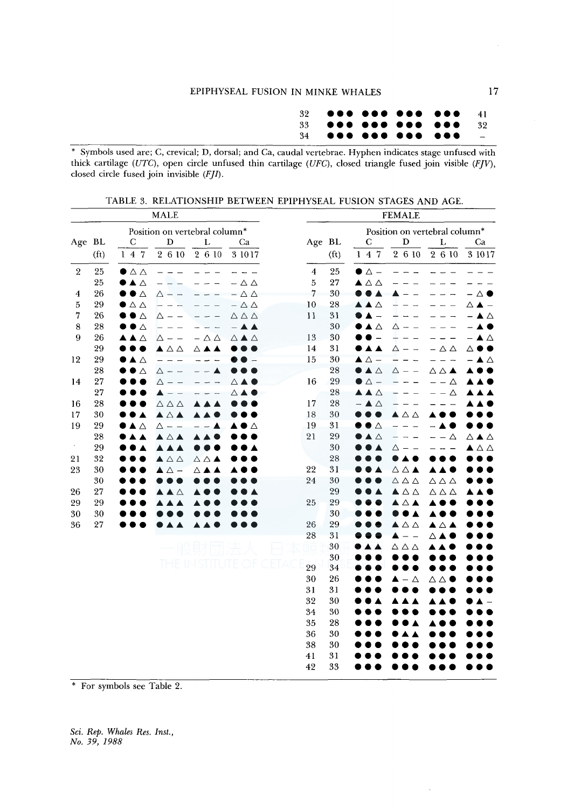|  |  | $\sim$ $-$ |
|--|--|------------|

34 ••• ••• ••• • •• \* Symbols used are; C, crevical; D, dorsal; and Ca, caudal vertebrae. Hyphen indicates stage unfused with thick cartilage (UTC), open circle unfused thin cartilage (UFC), closed triangle fused join visible (FJV), closed circle fused join invisible  $(FJI)$ .

| Position on vertebral column*<br>Position on vertebral column*<br>Age BL<br>Age BL<br>D<br>Г<br>D<br>$\mathbf C$<br>Ca<br>С<br>L<br>Ca<br>2610<br>2 6 10<br>2 6 10<br>(f <sub>t</sub> )<br>147<br>2 6 10<br>3 10 17<br>(f <sub>t</sub> )<br>147<br>3 10 17<br>25<br>25<br>$\overline{2}$<br>$\bullet$ $\triangle$ $\triangle$<br>$\overline{4}$<br>$\bullet$ $\triangle$ $-$<br>25<br>$\bullet\blacktriangle\vartriangle$<br>5<br>27<br>$\blacktriangle \triangle \triangle$<br>$-\triangle \triangle$<br>7<br>26<br>$-\Delta\Delta$<br>30<br>$\bullet\bullet\vartriangle$<br>4<br>$\triangle$ (<br>$\triangle$ $-$<br>10<br>28<br>29<br>5<br>$\bullet$ $\triangle$ $\triangle$<br>$-\Delta\Delta$<br>$\triangle$ $\triangle$<br>▵▴<br>7<br>26<br>$\bullet$ $\Delta$<br>$\triangle \triangle \triangle$<br>11<br>31<br>$\overline{\phantom{a}}$<br>Δ<br>. .<br>Δ<br>28<br>30<br>●▲△<br>8<br>$\bullet$ $\bullet$ $\vartriangle$<br>$ \triangle$ $\triangle$<br>Δ<br>13<br>30<br>9<br>26<br>▲▲△<br>$\triangle$ $\blacktriangle$ $\triangle$<br>– ▲ △<br>$\Delta$ -<br>$ \triangle$ $\triangle$<br>29<br>31<br>14<br>$\blacktriangle \triangle \triangle$<br>▲<br>$\triangle$ $\triangle$<br>$\bullet$<br>Δ<br>Δ(<br>▵▴<br>15<br>29<br>30<br>$\triangle$ $\triangle$ $-$<br>12<br>$\blacktriangle$ $\triangle$<br>$\frac{1}{2}$<br>△<br>28<br>28<br>$\bullet$ A $\triangle$<br>$\triangle$<br>$\triangle$ $ -$<br>◬◬▴<br>△ - -<br>27<br>29<br>$\bullet$ $\triangle$ $-$<br>16<br>14<br>– – ∆<br>Δ -<br>△▲●<br>27<br>28<br>A A A<br>$-\Delta$<br>Δ<br>28<br>28<br>$ \triangle$ $\triangle$<br>$\triangle$ $\triangle$ $\triangle$<br>17<br>16<br>18<br>30<br>17<br>30<br>$\blacktriangle \triangle \blacktriangle$<br>▲<br>▲△△<br>c<br>31<br>19<br>29<br>19<br>$\bullet$ $\vartriangle$<br>▲△<br>$\Delta$ - -<br>Δ<br>21<br>29<br>28<br>$\blacktriangle \vartriangle$<br>Δ<br>△▲△<br>AAA<br>$\epsilon$<br>29<br>30<br><b>AA</b><br>$\blacktriangle$<br>Δ<br>▲△△<br>32<br>28<br>21<br>$\blacktriangle \vartriangle \vartriangle$<br>$\triangle$ $\triangle$ $\blacktriangle$<br><b>.</b><br>22<br>31<br>30<br>$\triangle$ $\triangle$ $\blacktriangle$<br>23<br>▲ △ -<br>◬▴<br>▲▲■<br>30<br>24<br>30<br>$\triangle$ $\triangle$ $\triangle$<br>$\triangle$ $\triangle$ $\triangle$<br>29<br>27<br>26<br>$\blacktriangle \triangle \triangle$<br>$\triangle$ $\triangle$ $\triangle$<br>$\triangle$<br>25<br>29<br><b>A A</b><br>29<br>29<br>30<br>30<br>30<br>27<br>29<br>26<br>$\blacktriangle \triangle \triangle$<br>36<br>▴▵▴<br>28<br>31<br>$\overline{\phantom{0}}$<br>Δ<br>30<br>$\triangle$ $\triangle$ $\triangle$<br>30<br>Tŀ<br>29<br>34<br>30<br>26<br>Δ<br>Δ<br>△●<br>31<br>31<br>32<br>30<br>30<br>34<br>35<br>28<br>36<br>30<br>38<br>30<br>31<br>41<br>42<br>33 | <b>MALE</b> |  |  |  |  | <b>FEMALE</b> |  |  |  |  |  |  |
|----------------------------------------------------------------------------------------------------------------------------------------------------------------------------------------------------------------------------------------------------------------------------------------------------------------------------------------------------------------------------------------------------------------------------------------------------------------------------------------------------------------------------------------------------------------------------------------------------------------------------------------------------------------------------------------------------------------------------------------------------------------------------------------------------------------------------------------------------------------------------------------------------------------------------------------------------------------------------------------------------------------------------------------------------------------------------------------------------------------------------------------------------------------------------------------------------------------------------------------------------------------------------------------------------------------------------------------------------------------------------------------------------------------------------------------------------------------------------------------------------------------------------------------------------------------------------------------------------------------------------------------------------------------------------------------------------------------------------------------------------------------------------------------------------------------------------------------------------------------------------------------------------------------------------------------------------------------------------------------------------------------------------------------------------------------------------------------------------------------------------------------------------------------------------------------------------------------------------------------------------------------------------------------------------------------------------------------------------------------------------------------------------------------------------------------------------------------------------------------------------------------------------------------------------------------------------------------------------------------------------------------------------------------------------------------------------------------------------------------------------------------------------|-------------|--|--|--|--|---------------|--|--|--|--|--|--|
|                                                                                                                                                                                                                                                                                                                                                                                                                                                                                                                                                                                                                                                                                                                                                                                                                                                                                                                                                                                                                                                                                                                                                                                                                                                                                                                                                                                                                                                                                                                                                                                                                                                                                                                                                                                                                                                                                                                                                                                                                                                                                                                                                                                                                                                                                                                                                                                                                                                                                                                                                                                                                                                                                                                                                                            |             |  |  |  |  |               |  |  |  |  |  |  |
|                                                                                                                                                                                                                                                                                                                                                                                                                                                                                                                                                                                                                                                                                                                                                                                                                                                                                                                                                                                                                                                                                                                                                                                                                                                                                                                                                                                                                                                                                                                                                                                                                                                                                                                                                                                                                                                                                                                                                                                                                                                                                                                                                                                                                                                                                                                                                                                                                                                                                                                                                                                                                                                                                                                                                                            |             |  |  |  |  |               |  |  |  |  |  |  |
|                                                                                                                                                                                                                                                                                                                                                                                                                                                                                                                                                                                                                                                                                                                                                                                                                                                                                                                                                                                                                                                                                                                                                                                                                                                                                                                                                                                                                                                                                                                                                                                                                                                                                                                                                                                                                                                                                                                                                                                                                                                                                                                                                                                                                                                                                                                                                                                                                                                                                                                                                                                                                                                                                                                                                                            |             |  |  |  |  |               |  |  |  |  |  |  |
|                                                                                                                                                                                                                                                                                                                                                                                                                                                                                                                                                                                                                                                                                                                                                                                                                                                                                                                                                                                                                                                                                                                                                                                                                                                                                                                                                                                                                                                                                                                                                                                                                                                                                                                                                                                                                                                                                                                                                                                                                                                                                                                                                                                                                                                                                                                                                                                                                                                                                                                                                                                                                                                                                                                                                                            |             |  |  |  |  |               |  |  |  |  |  |  |
|                                                                                                                                                                                                                                                                                                                                                                                                                                                                                                                                                                                                                                                                                                                                                                                                                                                                                                                                                                                                                                                                                                                                                                                                                                                                                                                                                                                                                                                                                                                                                                                                                                                                                                                                                                                                                                                                                                                                                                                                                                                                                                                                                                                                                                                                                                                                                                                                                                                                                                                                                                                                                                                                                                                                                                            |             |  |  |  |  |               |  |  |  |  |  |  |
|                                                                                                                                                                                                                                                                                                                                                                                                                                                                                                                                                                                                                                                                                                                                                                                                                                                                                                                                                                                                                                                                                                                                                                                                                                                                                                                                                                                                                                                                                                                                                                                                                                                                                                                                                                                                                                                                                                                                                                                                                                                                                                                                                                                                                                                                                                                                                                                                                                                                                                                                                                                                                                                                                                                                                                            |             |  |  |  |  |               |  |  |  |  |  |  |
|                                                                                                                                                                                                                                                                                                                                                                                                                                                                                                                                                                                                                                                                                                                                                                                                                                                                                                                                                                                                                                                                                                                                                                                                                                                                                                                                                                                                                                                                                                                                                                                                                                                                                                                                                                                                                                                                                                                                                                                                                                                                                                                                                                                                                                                                                                                                                                                                                                                                                                                                                                                                                                                                                                                                                                            |             |  |  |  |  |               |  |  |  |  |  |  |
|                                                                                                                                                                                                                                                                                                                                                                                                                                                                                                                                                                                                                                                                                                                                                                                                                                                                                                                                                                                                                                                                                                                                                                                                                                                                                                                                                                                                                                                                                                                                                                                                                                                                                                                                                                                                                                                                                                                                                                                                                                                                                                                                                                                                                                                                                                                                                                                                                                                                                                                                                                                                                                                                                                                                                                            |             |  |  |  |  |               |  |  |  |  |  |  |
|                                                                                                                                                                                                                                                                                                                                                                                                                                                                                                                                                                                                                                                                                                                                                                                                                                                                                                                                                                                                                                                                                                                                                                                                                                                                                                                                                                                                                                                                                                                                                                                                                                                                                                                                                                                                                                                                                                                                                                                                                                                                                                                                                                                                                                                                                                                                                                                                                                                                                                                                                                                                                                                                                                                                                                            |             |  |  |  |  |               |  |  |  |  |  |  |
|                                                                                                                                                                                                                                                                                                                                                                                                                                                                                                                                                                                                                                                                                                                                                                                                                                                                                                                                                                                                                                                                                                                                                                                                                                                                                                                                                                                                                                                                                                                                                                                                                                                                                                                                                                                                                                                                                                                                                                                                                                                                                                                                                                                                                                                                                                                                                                                                                                                                                                                                                                                                                                                                                                                                                                            |             |  |  |  |  |               |  |  |  |  |  |  |
|                                                                                                                                                                                                                                                                                                                                                                                                                                                                                                                                                                                                                                                                                                                                                                                                                                                                                                                                                                                                                                                                                                                                                                                                                                                                                                                                                                                                                                                                                                                                                                                                                                                                                                                                                                                                                                                                                                                                                                                                                                                                                                                                                                                                                                                                                                                                                                                                                                                                                                                                                                                                                                                                                                                                                                            |             |  |  |  |  |               |  |  |  |  |  |  |
|                                                                                                                                                                                                                                                                                                                                                                                                                                                                                                                                                                                                                                                                                                                                                                                                                                                                                                                                                                                                                                                                                                                                                                                                                                                                                                                                                                                                                                                                                                                                                                                                                                                                                                                                                                                                                                                                                                                                                                                                                                                                                                                                                                                                                                                                                                                                                                                                                                                                                                                                                                                                                                                                                                                                                                            |             |  |  |  |  |               |  |  |  |  |  |  |
|                                                                                                                                                                                                                                                                                                                                                                                                                                                                                                                                                                                                                                                                                                                                                                                                                                                                                                                                                                                                                                                                                                                                                                                                                                                                                                                                                                                                                                                                                                                                                                                                                                                                                                                                                                                                                                                                                                                                                                                                                                                                                                                                                                                                                                                                                                                                                                                                                                                                                                                                                                                                                                                                                                                                                                            |             |  |  |  |  |               |  |  |  |  |  |  |
|                                                                                                                                                                                                                                                                                                                                                                                                                                                                                                                                                                                                                                                                                                                                                                                                                                                                                                                                                                                                                                                                                                                                                                                                                                                                                                                                                                                                                                                                                                                                                                                                                                                                                                                                                                                                                                                                                                                                                                                                                                                                                                                                                                                                                                                                                                                                                                                                                                                                                                                                                                                                                                                                                                                                                                            |             |  |  |  |  |               |  |  |  |  |  |  |
|                                                                                                                                                                                                                                                                                                                                                                                                                                                                                                                                                                                                                                                                                                                                                                                                                                                                                                                                                                                                                                                                                                                                                                                                                                                                                                                                                                                                                                                                                                                                                                                                                                                                                                                                                                                                                                                                                                                                                                                                                                                                                                                                                                                                                                                                                                                                                                                                                                                                                                                                                                                                                                                                                                                                                                            |             |  |  |  |  |               |  |  |  |  |  |  |
|                                                                                                                                                                                                                                                                                                                                                                                                                                                                                                                                                                                                                                                                                                                                                                                                                                                                                                                                                                                                                                                                                                                                                                                                                                                                                                                                                                                                                                                                                                                                                                                                                                                                                                                                                                                                                                                                                                                                                                                                                                                                                                                                                                                                                                                                                                                                                                                                                                                                                                                                                                                                                                                                                                                                                                            |             |  |  |  |  |               |  |  |  |  |  |  |
|                                                                                                                                                                                                                                                                                                                                                                                                                                                                                                                                                                                                                                                                                                                                                                                                                                                                                                                                                                                                                                                                                                                                                                                                                                                                                                                                                                                                                                                                                                                                                                                                                                                                                                                                                                                                                                                                                                                                                                                                                                                                                                                                                                                                                                                                                                                                                                                                                                                                                                                                                                                                                                                                                                                                                                            |             |  |  |  |  |               |  |  |  |  |  |  |
|                                                                                                                                                                                                                                                                                                                                                                                                                                                                                                                                                                                                                                                                                                                                                                                                                                                                                                                                                                                                                                                                                                                                                                                                                                                                                                                                                                                                                                                                                                                                                                                                                                                                                                                                                                                                                                                                                                                                                                                                                                                                                                                                                                                                                                                                                                                                                                                                                                                                                                                                                                                                                                                                                                                                                                            |             |  |  |  |  |               |  |  |  |  |  |  |
|                                                                                                                                                                                                                                                                                                                                                                                                                                                                                                                                                                                                                                                                                                                                                                                                                                                                                                                                                                                                                                                                                                                                                                                                                                                                                                                                                                                                                                                                                                                                                                                                                                                                                                                                                                                                                                                                                                                                                                                                                                                                                                                                                                                                                                                                                                                                                                                                                                                                                                                                                                                                                                                                                                                                                                            |             |  |  |  |  |               |  |  |  |  |  |  |
|                                                                                                                                                                                                                                                                                                                                                                                                                                                                                                                                                                                                                                                                                                                                                                                                                                                                                                                                                                                                                                                                                                                                                                                                                                                                                                                                                                                                                                                                                                                                                                                                                                                                                                                                                                                                                                                                                                                                                                                                                                                                                                                                                                                                                                                                                                                                                                                                                                                                                                                                                                                                                                                                                                                                                                            |             |  |  |  |  |               |  |  |  |  |  |  |
|                                                                                                                                                                                                                                                                                                                                                                                                                                                                                                                                                                                                                                                                                                                                                                                                                                                                                                                                                                                                                                                                                                                                                                                                                                                                                                                                                                                                                                                                                                                                                                                                                                                                                                                                                                                                                                                                                                                                                                                                                                                                                                                                                                                                                                                                                                                                                                                                                                                                                                                                                                                                                                                                                                                                                                            |             |  |  |  |  |               |  |  |  |  |  |  |
|                                                                                                                                                                                                                                                                                                                                                                                                                                                                                                                                                                                                                                                                                                                                                                                                                                                                                                                                                                                                                                                                                                                                                                                                                                                                                                                                                                                                                                                                                                                                                                                                                                                                                                                                                                                                                                                                                                                                                                                                                                                                                                                                                                                                                                                                                                                                                                                                                                                                                                                                                                                                                                                                                                                                                                            |             |  |  |  |  |               |  |  |  |  |  |  |
|                                                                                                                                                                                                                                                                                                                                                                                                                                                                                                                                                                                                                                                                                                                                                                                                                                                                                                                                                                                                                                                                                                                                                                                                                                                                                                                                                                                                                                                                                                                                                                                                                                                                                                                                                                                                                                                                                                                                                                                                                                                                                                                                                                                                                                                                                                                                                                                                                                                                                                                                                                                                                                                                                                                                                                            |             |  |  |  |  |               |  |  |  |  |  |  |
|                                                                                                                                                                                                                                                                                                                                                                                                                                                                                                                                                                                                                                                                                                                                                                                                                                                                                                                                                                                                                                                                                                                                                                                                                                                                                                                                                                                                                                                                                                                                                                                                                                                                                                                                                                                                                                                                                                                                                                                                                                                                                                                                                                                                                                                                                                                                                                                                                                                                                                                                                                                                                                                                                                                                                                            |             |  |  |  |  |               |  |  |  |  |  |  |
|                                                                                                                                                                                                                                                                                                                                                                                                                                                                                                                                                                                                                                                                                                                                                                                                                                                                                                                                                                                                                                                                                                                                                                                                                                                                                                                                                                                                                                                                                                                                                                                                                                                                                                                                                                                                                                                                                                                                                                                                                                                                                                                                                                                                                                                                                                                                                                                                                                                                                                                                                                                                                                                                                                                                                                            |             |  |  |  |  |               |  |  |  |  |  |  |
|                                                                                                                                                                                                                                                                                                                                                                                                                                                                                                                                                                                                                                                                                                                                                                                                                                                                                                                                                                                                                                                                                                                                                                                                                                                                                                                                                                                                                                                                                                                                                                                                                                                                                                                                                                                                                                                                                                                                                                                                                                                                                                                                                                                                                                                                                                                                                                                                                                                                                                                                                                                                                                                                                                                                                                            |             |  |  |  |  |               |  |  |  |  |  |  |
|                                                                                                                                                                                                                                                                                                                                                                                                                                                                                                                                                                                                                                                                                                                                                                                                                                                                                                                                                                                                                                                                                                                                                                                                                                                                                                                                                                                                                                                                                                                                                                                                                                                                                                                                                                                                                                                                                                                                                                                                                                                                                                                                                                                                                                                                                                                                                                                                                                                                                                                                                                                                                                                                                                                                                                            |             |  |  |  |  |               |  |  |  |  |  |  |
|                                                                                                                                                                                                                                                                                                                                                                                                                                                                                                                                                                                                                                                                                                                                                                                                                                                                                                                                                                                                                                                                                                                                                                                                                                                                                                                                                                                                                                                                                                                                                                                                                                                                                                                                                                                                                                                                                                                                                                                                                                                                                                                                                                                                                                                                                                                                                                                                                                                                                                                                                                                                                                                                                                                                                                            |             |  |  |  |  |               |  |  |  |  |  |  |
|                                                                                                                                                                                                                                                                                                                                                                                                                                                                                                                                                                                                                                                                                                                                                                                                                                                                                                                                                                                                                                                                                                                                                                                                                                                                                                                                                                                                                                                                                                                                                                                                                                                                                                                                                                                                                                                                                                                                                                                                                                                                                                                                                                                                                                                                                                                                                                                                                                                                                                                                                                                                                                                                                                                                                                            |             |  |  |  |  |               |  |  |  |  |  |  |
|                                                                                                                                                                                                                                                                                                                                                                                                                                                                                                                                                                                                                                                                                                                                                                                                                                                                                                                                                                                                                                                                                                                                                                                                                                                                                                                                                                                                                                                                                                                                                                                                                                                                                                                                                                                                                                                                                                                                                                                                                                                                                                                                                                                                                                                                                                                                                                                                                                                                                                                                                                                                                                                                                                                                                                            |             |  |  |  |  |               |  |  |  |  |  |  |
|                                                                                                                                                                                                                                                                                                                                                                                                                                                                                                                                                                                                                                                                                                                                                                                                                                                                                                                                                                                                                                                                                                                                                                                                                                                                                                                                                                                                                                                                                                                                                                                                                                                                                                                                                                                                                                                                                                                                                                                                                                                                                                                                                                                                                                                                                                                                                                                                                                                                                                                                                                                                                                                                                                                                                                            |             |  |  |  |  |               |  |  |  |  |  |  |
|                                                                                                                                                                                                                                                                                                                                                                                                                                                                                                                                                                                                                                                                                                                                                                                                                                                                                                                                                                                                                                                                                                                                                                                                                                                                                                                                                                                                                                                                                                                                                                                                                                                                                                                                                                                                                                                                                                                                                                                                                                                                                                                                                                                                                                                                                                                                                                                                                                                                                                                                                                                                                                                                                                                                                                            |             |  |  |  |  |               |  |  |  |  |  |  |
|                                                                                                                                                                                                                                                                                                                                                                                                                                                                                                                                                                                                                                                                                                                                                                                                                                                                                                                                                                                                                                                                                                                                                                                                                                                                                                                                                                                                                                                                                                                                                                                                                                                                                                                                                                                                                                                                                                                                                                                                                                                                                                                                                                                                                                                                                                                                                                                                                                                                                                                                                                                                                                                                                                                                                                            |             |  |  |  |  |               |  |  |  |  |  |  |
|                                                                                                                                                                                                                                                                                                                                                                                                                                                                                                                                                                                                                                                                                                                                                                                                                                                                                                                                                                                                                                                                                                                                                                                                                                                                                                                                                                                                                                                                                                                                                                                                                                                                                                                                                                                                                                                                                                                                                                                                                                                                                                                                                                                                                                                                                                                                                                                                                                                                                                                                                                                                                                                                                                                                                                            |             |  |  |  |  |               |  |  |  |  |  |  |
|                                                                                                                                                                                                                                                                                                                                                                                                                                                                                                                                                                                                                                                                                                                                                                                                                                                                                                                                                                                                                                                                                                                                                                                                                                                                                                                                                                                                                                                                                                                                                                                                                                                                                                                                                                                                                                                                                                                                                                                                                                                                                                                                                                                                                                                                                                                                                                                                                                                                                                                                                                                                                                                                                                                                                                            |             |  |  |  |  |               |  |  |  |  |  |  |
|                                                                                                                                                                                                                                                                                                                                                                                                                                                                                                                                                                                                                                                                                                                                                                                                                                                                                                                                                                                                                                                                                                                                                                                                                                                                                                                                                                                                                                                                                                                                                                                                                                                                                                                                                                                                                                                                                                                                                                                                                                                                                                                                                                                                                                                                                                                                                                                                                                                                                                                                                                                                                                                                                                                                                                            |             |  |  |  |  |               |  |  |  |  |  |  |
|                                                                                                                                                                                                                                                                                                                                                                                                                                                                                                                                                                                                                                                                                                                                                                                                                                                                                                                                                                                                                                                                                                                                                                                                                                                                                                                                                                                                                                                                                                                                                                                                                                                                                                                                                                                                                                                                                                                                                                                                                                                                                                                                                                                                                                                                                                                                                                                                                                                                                                                                                                                                                                                                                                                                                                            |             |  |  |  |  |               |  |  |  |  |  |  |
|                                                                                                                                                                                                                                                                                                                                                                                                                                                                                                                                                                                                                                                                                                                                                                                                                                                                                                                                                                                                                                                                                                                                                                                                                                                                                                                                                                                                                                                                                                                                                                                                                                                                                                                                                                                                                                                                                                                                                                                                                                                                                                                                                                                                                                                                                                                                                                                                                                                                                                                                                                                                                                                                                                                                                                            |             |  |  |  |  |               |  |  |  |  |  |  |

TABLE 3. RELATIONSHIP BETWEEN EPIPHYSEAL FUSION STAGES AND AGE.

\* For symbols see Table 2.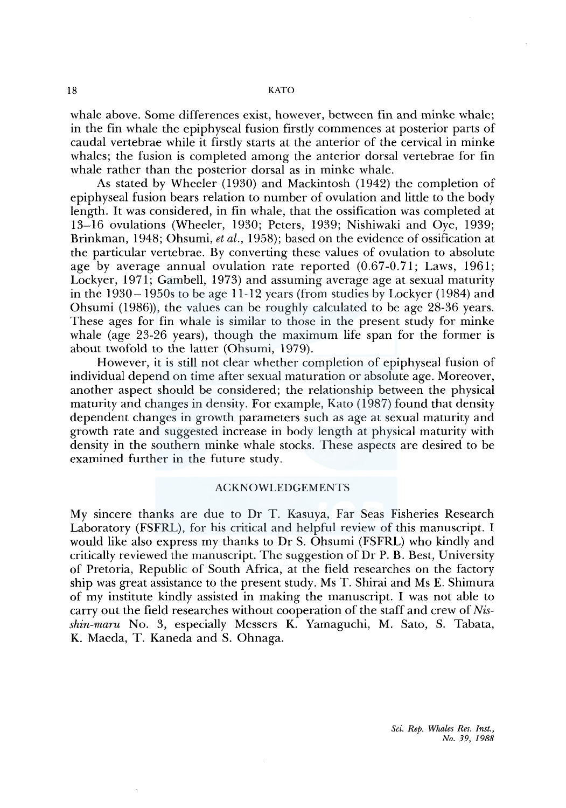whale above. Some differences exist, however, between fin and minke whale; in the fin whale the epiphyseal fusion firstly commences at posterior parts of caudal vertebrae while it firstly starts at the anterior of the cervical in minke whales; the fusion is completed among the anterior dorsal vertebrae for fin whale rather than the posterior dorsal as in minke whale.

As stated by Wheeler (1930) and Mackintosh (1942) the completion of epiphyseal fusion bears relation to number of ovulation and little to the body length. It was considered, in fin whale, that the ossification was completed at 13-16 ovulations (Wheeler, 1930; Peters, 1939; Nishiwaki and Oye, 1939; Brinkman, 1948; Ohsumi, *et al.,* 1958); based on the evidence of ossification at the particular vertebrae. By converting these values of ovulation to absolute age by average annual ovulation rate reported  $(0.67-0.71;$  Laws, 1961; Lockyer, 1971; Gambell, 1973) and assuming average age at sexual maturity in the 1930-1950s to be age 11-12 years (from studies by Lockyer (1984) and Ohsumi (1986)), the values can be roughly calculated to be age 28-36 years. These ages for fin whale is similar to those in the present study for minke whale (age 23-26 years), though the maximum life span for the former is about twofold to the latter (Ohsumi, 1979).

However, it is still not clear whether completion of epiphyseal fusion of individual depend on time after sexual maturation or absolute age. Moreover, another aspect should be considered; the relationship between the physical maturity and changes in density. For example, Kato (1987) found that density dependent changes in growth parameters such as age at sexual maturity and growth rate and suggested increase in body length at physical maturity with density in the southern minke whale stocks. These aspects are desired to be examined further in the future study.

# ACKNOWLEDGEMENTS

My sincere thanks are due to Dr T. Kasuya, Far Seas Fisheries Research Laboratory (FSFRL), for his critical and helpful review of this manuscript. I would like also express my thanks to Dr S. Ohsumi (FSFRL) who kindly and critically reviewed the manuscript. The suggestion of Dr P. B. Best, University of Pretoria, Republic of South Africa, at the field researches on the factory ship was great assistance to the present study. Ms T. Shirai and Ms E. Shimura of my institute kindly assisted in making the manuscript. I was not able to carry out the field researches without cooperation of the staff and crew of *Nisshin-maru* No. 3, especially Messers K. Yamaguchi, M. Sato, S. Tabata, K. Maeda, T. Kaneda and S. Ohnaga.